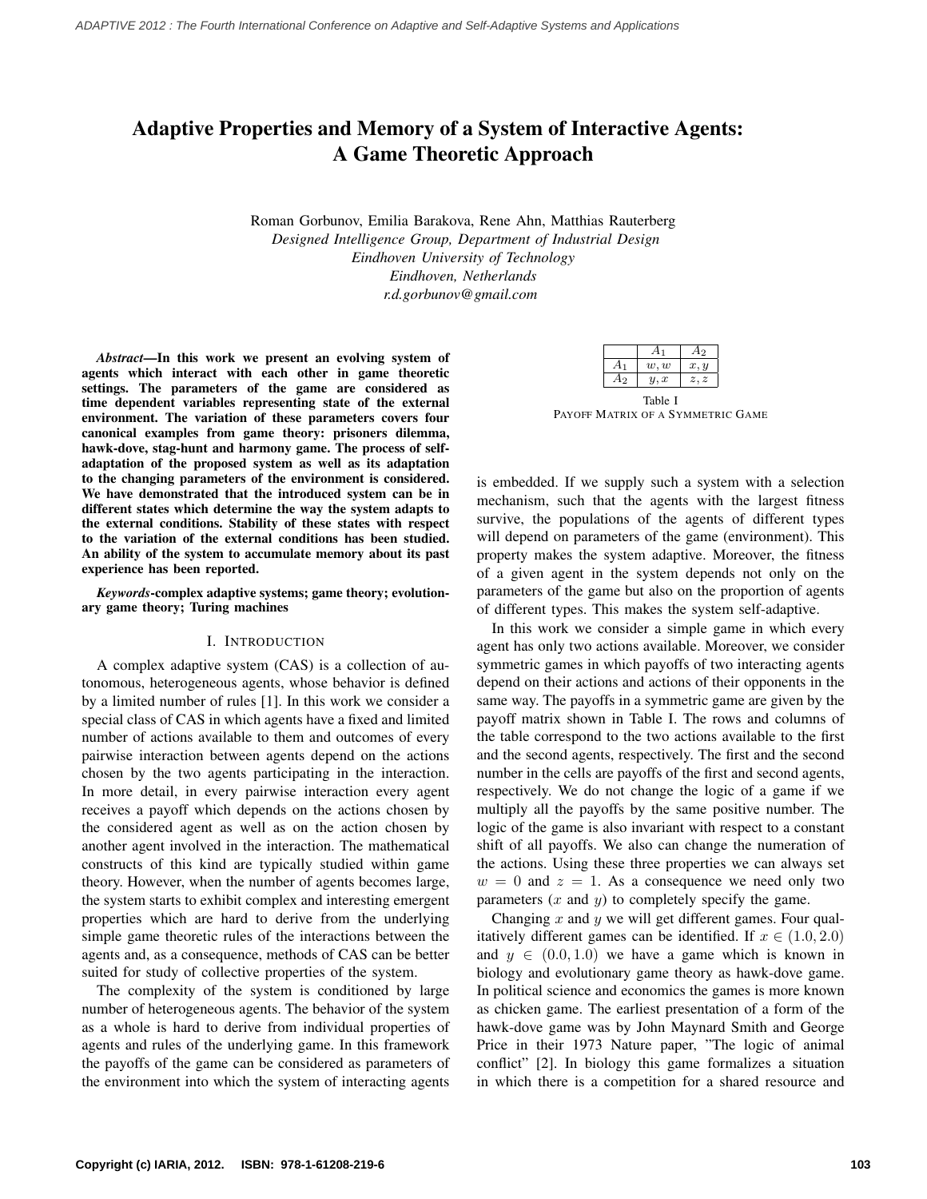# Adaptive Properties and Memory of a System of Interactive Agents: A Game Theoretic Approach

Roman Gorbunov, Emilia Barakova, Rene Ahn, Matthias Rauterberg *Designed Intelligence Group, Department of Industrial Design Eindhoven University of Technology Eindhoven, Netherlands r.d.gorbunov@gmail.com*

*Abstract*—In this work we present an evolving system of agents which interact with each other in game theoretic settings. The parameters of the game are considered as time dependent variables representing state of the external environment. The variation of these parameters covers four canonical examples from game theory: prisoners dilemma, hawk-dove, stag-hunt and harmony game. The process of selfadaptation of the proposed system as well as its adaptation to the changing parameters of the environment is considered. We have demonstrated that the introduced system can be in different states which determine the way the system adapts to the external conditions. Stability of these states with respect to the variation of the external conditions has been studied. An ability of the system to accumulate memory about its past experience has been reported.

*Keywords*-complex adaptive systems; game theory; evolutionary game theory; Turing machines

# I. INTRODUCTION

A complex adaptive system (CAS) is a collection of autonomous, heterogeneous agents, whose behavior is defined by a limited number of rules [1]. In this work we consider a special class of CAS in which agents have a fixed and limited number of actions available to them and outcomes of every pairwise interaction between agents depend on the actions chosen by the two agents participating in the interaction. In more detail, in every pairwise interaction every agent receives a payoff which depends on the actions chosen by the considered agent as well as on the action chosen by another agent involved in the interaction. The mathematical constructs of this kind are typically studied within game theory. However, when the number of agents becomes large, the system starts to exhibit complex and interesting emergent properties which are hard to derive from the underlying simple game theoretic rules of the interactions between the agents and, as a consequence, methods of CAS can be better suited for study of collective properties of the system.

The complexity of the system is conditioned by large number of heterogeneous agents. The behavior of the system as a whole is hard to derive from individual properties of agents and rules of the underlying game. In this framework the payoffs of the game can be considered as parameters of the environment into which the system of interacting agents

| w, w | x, y        |
|------|-------------|
|      |             |
| u,x  | $\tilde{ }$ |

Table I PAYOFF MATRIX OF A SYMMETRIC GAME

is embedded. If we supply such a system with a selection mechanism, such that the agents with the largest fitness survive, the populations of the agents of different types will depend on parameters of the game (environment). This property makes the system adaptive. Moreover, the fitness of a given agent in the system depends not only on the parameters of the game but also on the proportion of agents of different types. This makes the system self-adaptive.

In this work we consider a simple game in which every agent has only two actions available. Moreover, we consider symmetric games in which payoffs of two interacting agents depend on their actions and actions of their opponents in the same way. The payoffs in a symmetric game are given by the payoff matrix shown in Table I. The rows and columns of the table correspond to the two actions available to the first and the second agents, respectively. The first and the second number in the cells are payoffs of the first and second agents, respectively. We do not change the logic of a game if we multiply all the payoffs by the same positive number. The logic of the game is also invariant with respect to a constant shift of all payoffs. We also can change the numeration of the actions. Using these three properties we can always set  $w = 0$  and  $z = 1$ . As a consequence we need only two parameters  $(x \text{ and } y)$  to completely specify the game.

Changing x and y we will get different games. Four qualitatively different games can be identified. If  $x \in (1.0, 2.0)$ and  $y \in (0.0, 1.0)$  we have a game which is known in biology and evolutionary game theory as hawk-dove game. In political science and economics the games is more known as chicken game. The earliest presentation of a form of the hawk-dove game was by John Maynard Smith and George Price in their 1973 Nature paper, "The logic of animal conflict" [2]. In biology this game formalizes a situation in which there is a competition for a shared resource and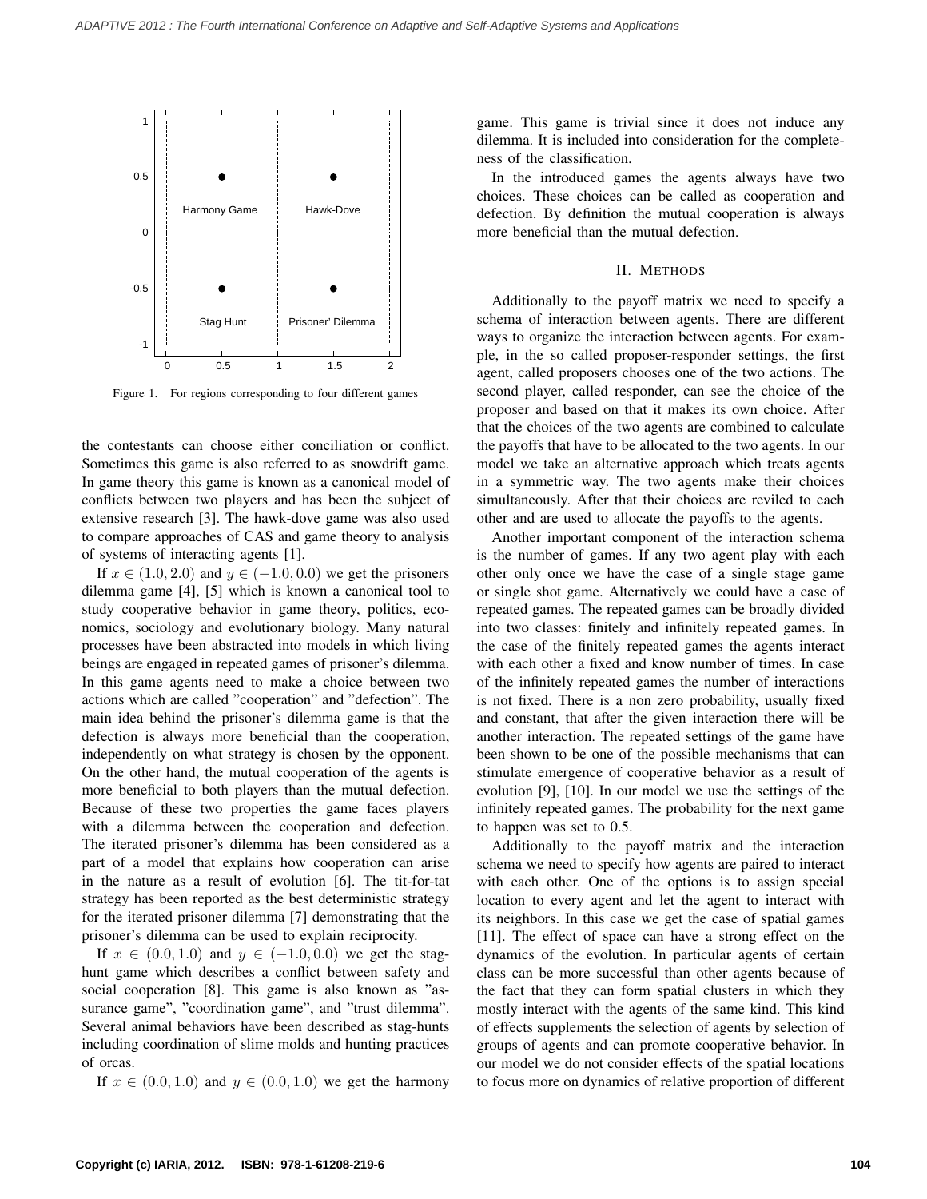

Figure 1. For regions corresponding to four different games

the contestants can choose either conciliation or conflict. Sometimes this game is also referred to as snowdrift game. In game theory this game is known as a canonical model of conflicts between two players and has been the subject of extensive research [3]. The hawk-dove game was also used to compare approaches of CAS and game theory to analysis of systems of interacting agents [1].

If  $x \in (1.0, 2.0)$  and  $y \in (-1.0, 0.0)$  we get the prisoners dilemma game [4], [5] which is known a canonical tool to study cooperative behavior in game theory, politics, economics, sociology and evolutionary biology. Many natural processes have been abstracted into models in which living beings are engaged in repeated games of prisoner's dilemma. In this game agents need to make a choice between two actions which are called "cooperation" and "defection". The main idea behind the prisoner's dilemma game is that the defection is always more beneficial than the cooperation, independently on what strategy is chosen by the opponent. On the other hand, the mutual cooperation of the agents is more beneficial to both players than the mutual defection. Because of these two properties the game faces players with a dilemma between the cooperation and defection. The iterated prisoner's dilemma has been considered as a part of a model that explains how cooperation can arise in the nature as a result of evolution [6]. The tit-for-tat strategy has been reported as the best deterministic strategy for the iterated prisoner dilemma [7] demonstrating that the prisoner's dilemma can be used to explain reciprocity.

If  $x \in (0.0, 1.0)$  and  $y \in (-1.0, 0.0)$  we get the staghunt game which describes a conflict between safety and social cooperation [8]. This game is also known as "assurance game", "coordination game", and "trust dilemma". Several animal behaviors have been described as stag-hunts including coordination of slime molds and hunting practices of orcas.

If  $x \in (0.0, 1.0)$  and  $y \in (0.0, 1.0)$  we get the harmony

game. This game is trivial since it does not induce any dilemma. It is included into consideration for the completeness of the classification.

In the introduced games the agents always have two choices. These choices can be called as cooperation and defection. By definition the mutual cooperation is always more beneficial than the mutual defection.

#### II. METHODS

Additionally to the payoff matrix we need to specify a schema of interaction between agents. There are different ways to organize the interaction between agents. For example, in the so called proposer-responder settings, the first agent, called proposers chooses one of the two actions. The second player, called responder, can see the choice of the proposer and based on that it makes its own choice. After that the choices of the two agents are combined to calculate the payoffs that have to be allocated to the two agents. In our model we take an alternative approach which treats agents in a symmetric way. The two agents make their choices simultaneously. After that their choices are reviled to each other and are used to allocate the payoffs to the agents.

Another important component of the interaction schema is the number of games. If any two agent play with each other only once we have the case of a single stage game or single shot game. Alternatively we could have a case of repeated games. The repeated games can be broadly divided into two classes: finitely and infinitely repeated games. In the case of the finitely repeated games the agents interact with each other a fixed and know number of times. In case of the infinitely repeated games the number of interactions is not fixed. There is a non zero probability, usually fixed and constant, that after the given interaction there will be another interaction. The repeated settings of the game have been shown to be one of the possible mechanisms that can stimulate emergence of cooperative behavior as a result of evolution [9], [10]. In our model we use the settings of the infinitely repeated games. The probability for the next game to happen was set to 0.5.

Additionally to the payoff matrix and the interaction schema we need to specify how agents are paired to interact with each other. One of the options is to assign special location to every agent and let the agent to interact with its neighbors. In this case we get the case of spatial games [11]. The effect of space can have a strong effect on the dynamics of the evolution. In particular agents of certain class can be more successful than other agents because of the fact that they can form spatial clusters in which they mostly interact with the agents of the same kind. This kind of effects supplements the selection of agents by selection of groups of agents and can promote cooperative behavior. In our model we do not consider effects of the spatial locations to focus more on dynamics of relative proportion of different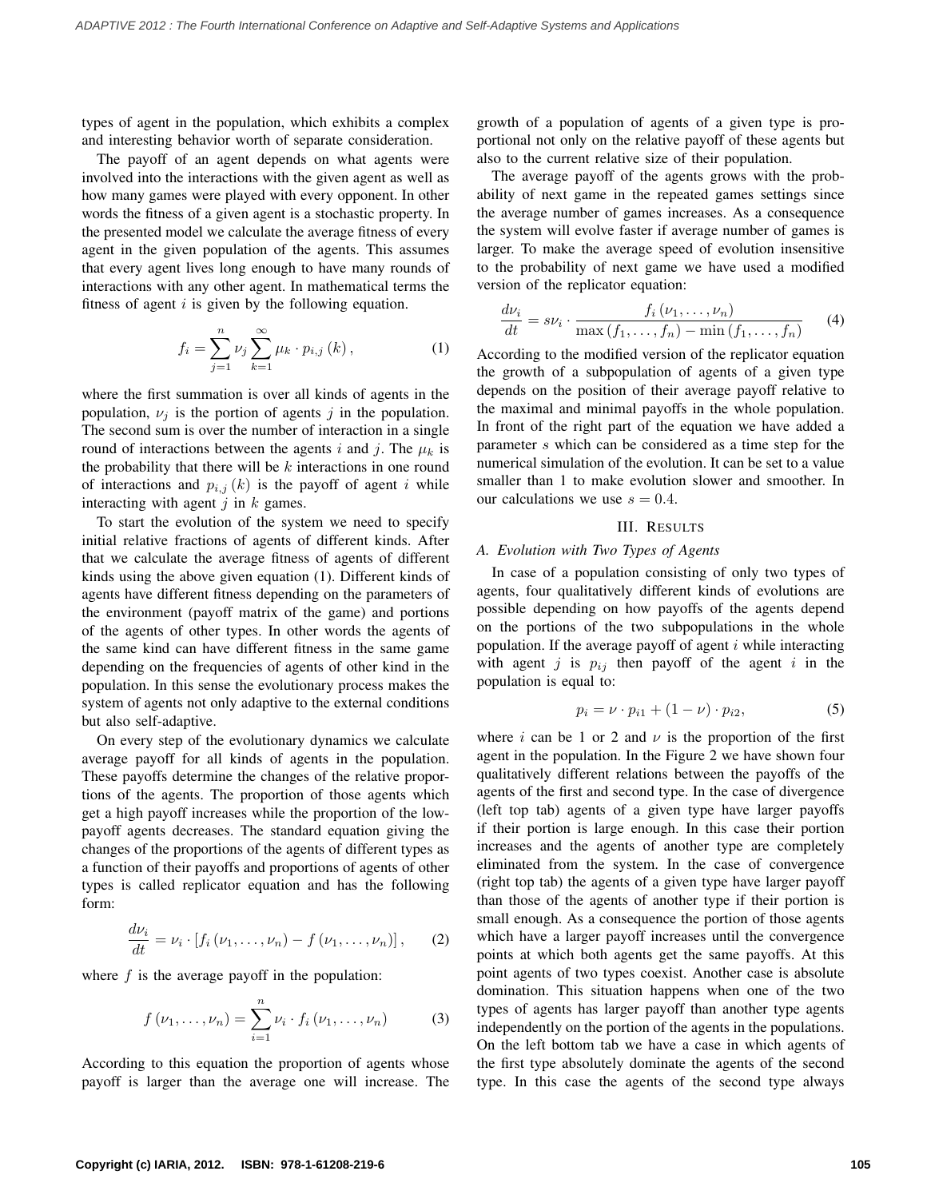types of agent in the population, which exhibits a complex and interesting behavior worth of separate consideration.

The payoff of an agent depends on what agents were involved into the interactions with the given agent as well as how many games were played with every opponent. In other words the fitness of a given agent is a stochastic property. In the presented model we calculate the average fitness of every agent in the given population of the agents. This assumes that every agent lives long enough to have many rounds of interactions with any other agent. In mathematical terms the fitness of agent  $i$  is given by the following equation.

$$
f_i = \sum_{j=1}^{n} \nu_j \sum_{k=1}^{\infty} \mu_k \cdot p_{i,j} (k), \qquad (1)
$$

where the first summation is over all kinds of agents in the population,  $\nu_i$  is the portion of agents j in the population. The second sum is over the number of interaction in a single round of interactions between the agents i and j. The  $\mu_k$  is the probability that there will be  $k$  interactions in one round of interactions and  $p_{i,j}(k)$  is the payoff of agent i while interacting with agent  $j$  in  $k$  games.

To start the evolution of the system we need to specify initial relative fractions of agents of different kinds. After that we calculate the average fitness of agents of different kinds using the above given equation (1). Different kinds of agents have different fitness depending on the parameters of the environment (payoff matrix of the game) and portions of the agents of other types. In other words the agents of the same kind can have different fitness in the same game depending on the frequencies of agents of other kind in the population. In this sense the evolutionary process makes the system of agents not only adaptive to the external conditions but also self-adaptive.

On every step of the evolutionary dynamics we calculate average payoff for all kinds of agents in the population. These payoffs determine the changes of the relative proportions of the agents. The proportion of those agents which get a high payoff increases while the proportion of the lowpayoff agents decreases. The standard equation giving the changes of the proportions of the agents of different types as a function of their payoffs and proportions of agents of other types is called replicator equation and has the following form:

$$
\frac{d\nu_i}{dt} = \nu_i \cdot [f_i(\nu_1, \dots, \nu_n) - f(\nu_1, \dots, \nu_n)], \qquad (2)
$$

where  $f$  is the average payoff in the population:

$$
f(\nu_1, ..., \nu_n) = \sum_{i=1}^n \nu_i \cdot f_i(\nu_1, ..., \nu_n)
$$
 (3)

According to this equation the proportion of agents whose payoff is larger than the average one will increase. The growth of a population of agents of a given type is proportional not only on the relative payoff of these agents but also to the current relative size of their population.

The average payoff of the agents grows with the probability of next game in the repeated games settings since the average number of games increases. As a consequence the system will evolve faster if average number of games is larger. To make the average speed of evolution insensitive to the probability of next game we have used a modified version of the replicator equation:

$$
\frac{d\nu_i}{dt} = s\nu_i \cdot \frac{f_i(\nu_1, \dots, \nu_n)}{\max(f_1, \dots, f_n) - \min(f_1, \dots, f_n)} \tag{4}
$$

According to the modified version of the replicator equation the growth of a subpopulation of agents of a given type depends on the position of their average payoff relative to the maximal and minimal payoffs in the whole population. In front of the right part of the equation we have added a parameter s which can be considered as a time step for the numerical simulation of the evolution. It can be set to a value smaller than 1 to make evolution slower and smoother. In our calculations we use  $s = 0.4$ .

# III. RESULTS

# *A. Evolution with Two Types of Agents*

In case of a population consisting of only two types of agents, four qualitatively different kinds of evolutions are possible depending on how payoffs of the agents depend on the portions of the two subpopulations in the whole population. If the average payoff of agent  $i$  while interacting with agent j is  $p_{ij}$  then payoff of the agent i in the population is equal to:

$$
p_i = \nu \cdot p_{i1} + (1 - \nu) \cdot p_{i2}, \tag{5}
$$

where i can be 1 or 2 and  $\nu$  is the proportion of the first agent in the population. In the Figure 2 we have shown four qualitatively different relations between the payoffs of the agents of the first and second type. In the case of divergence (left top tab) agents of a given type have larger payoffs if their portion is large enough. In this case their portion increases and the agents of another type are completely eliminated from the system. In the case of convergence (right top tab) the agents of a given type have larger payoff than those of the agents of another type if their portion is small enough. As a consequence the portion of those agents which have a larger payoff increases until the convergence points at which both agents get the same payoffs. At this point agents of two types coexist. Another case is absolute domination. This situation happens when one of the two types of agents has larger payoff than another type agents independently on the portion of the agents in the populations. On the left bottom tab we have a case in which agents of the first type absolutely dominate the agents of the second type. In this case the agents of the second type always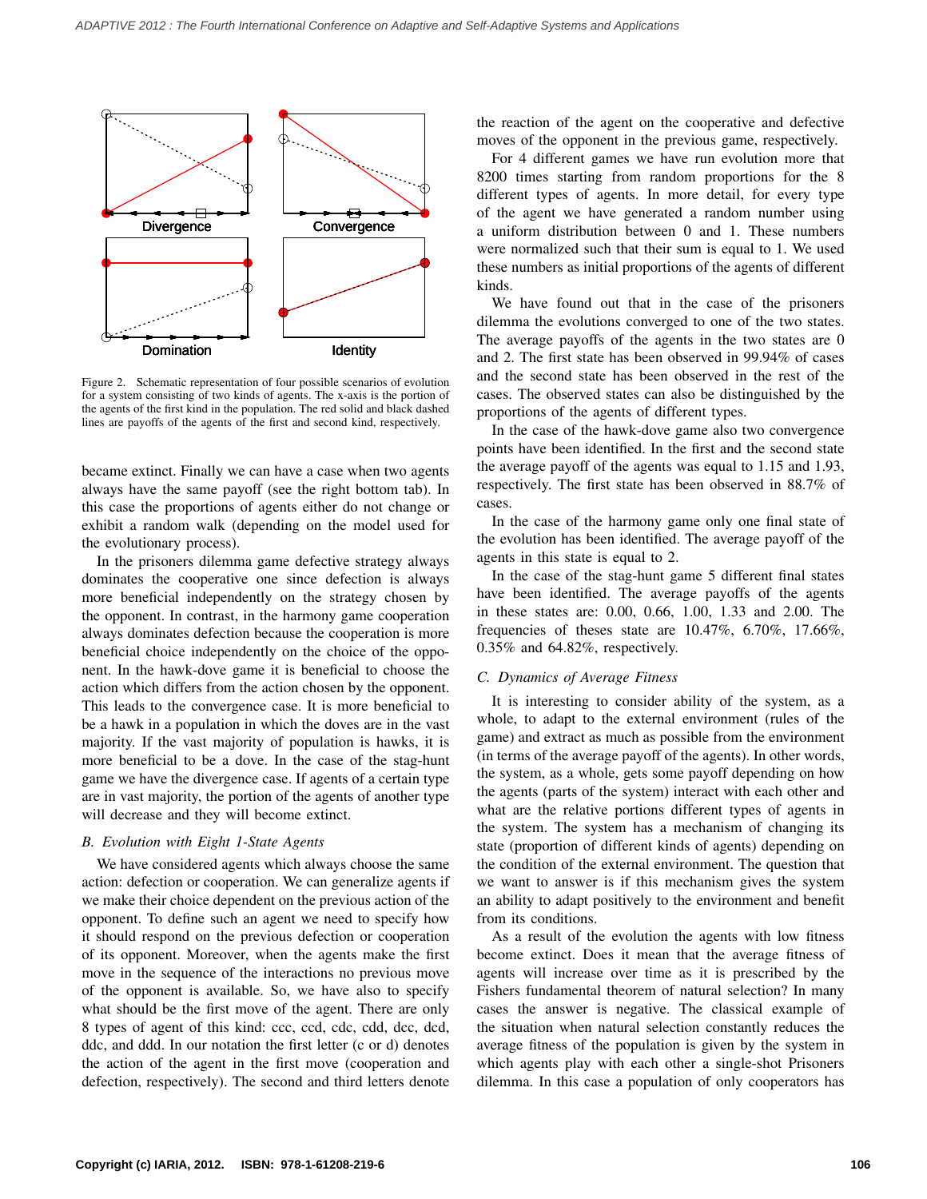

Figure 2. Schematic representation of four possible scenarios of evolution for a system consisting of two kinds of agents. The x-axis is the portion of the agents of the first kind in the population. The red solid and black dashed lines are payoffs of the agents of the first and second kind, respectively.

became extinct. Finally we can have a case when two agents always have the same payoff (see the right bottom tab). In this case the proportions of agents either do not change or exhibit a random walk (depending on the model used for the evolutionary process).

In the prisoners dilemma game defective strategy always dominates the cooperative one since defection is always more beneficial independently on the strategy chosen by the opponent. In contrast, in the harmony game cooperation always dominates defection because the cooperation is more beneficial choice independently on the choice of the opponent. In the hawk-dove game it is beneficial to choose the action which differs from the action chosen by the opponent. This leads to the convergence case. It is more beneficial to be a hawk in a population in which the doves are in the vast majority. If the vast majority of population is hawks, it is more beneficial to be a dove. In the case of the stag-hunt game we have the divergence case. If agents of a certain type are in vast majority, the portion of the agents of another type will decrease and they will become extinct.

# *B. Evolution with Eight 1-State Agents*

We have considered agents which always choose the same action: defection or cooperation. We can generalize agents if we make their choice dependent on the previous action of the opponent. To define such an agent we need to specify how it should respond on the previous defection or cooperation of its opponent. Moreover, when the agents make the first move in the sequence of the interactions no previous move of the opponent is available. So, we have also to specify what should be the first move of the agent. There are only 8 types of agent of this kind: ccc, ccd, cdc, cdd, dcc, dcd, ddc, and ddd. In our notation the first letter (c or d) denotes the action of the agent in the first move (cooperation and defection, respectively). The second and third letters denote the reaction of the agent on the cooperative and defective moves of the opponent in the previous game, respectively.

For 4 different games we have run evolution more that 8200 times starting from random proportions for the 8 different types of agents. In more detail, for every type of the agent we have generated a random number using a uniform distribution between 0 and 1. These numbers were normalized such that their sum is equal to 1. We used these numbers as initial proportions of the agents of different kinds.

We have found out that in the case of the prisoners dilemma the evolutions converged to one of the two states. The average payoffs of the agents in the two states are 0 and 2. The first state has been observed in 99.94% of cases and the second state has been observed in the rest of the cases. The observed states can also be distinguished by the proportions of the agents of different types.

In the case of the hawk-dove game also two convergence points have been identified. In the first and the second state the average payoff of the agents was equal to 1.15 and 1.93, respectively. The first state has been observed in 88.7% of cases.

In the case of the harmony game only one final state of the evolution has been identified. The average payoff of the agents in this state is equal to 2.

In the case of the stag-hunt game 5 different final states have been identified. The average payoffs of the agents in these states are: 0.00, 0.66, 1.00, 1.33 and 2.00. The frequencies of theses state are 10.47%, 6.70%, 17.66%, 0.35% and 64.82%, respectively.

#### *C. Dynamics of Average Fitness*

It is interesting to consider ability of the system, as a whole, to adapt to the external environment (rules of the game) and extract as much as possible from the environment (in terms of the average payoff of the agents). In other words, the system, as a whole, gets some payoff depending on how the agents (parts of the system) interact with each other and what are the relative portions different types of agents in the system. The system has a mechanism of changing its state (proportion of different kinds of agents) depending on the condition of the external environment. The question that we want to answer is if this mechanism gives the system an ability to adapt positively to the environment and benefit from its conditions.

As a result of the evolution the agents with low fitness become extinct. Does it mean that the average fitness of agents will increase over time as it is prescribed by the Fishers fundamental theorem of natural selection? In many cases the answer is negative. The classical example of the situation when natural selection constantly reduces the average fitness of the population is given by the system in which agents play with each other a single-shot Prisoners dilemma. In this case a population of only cooperators has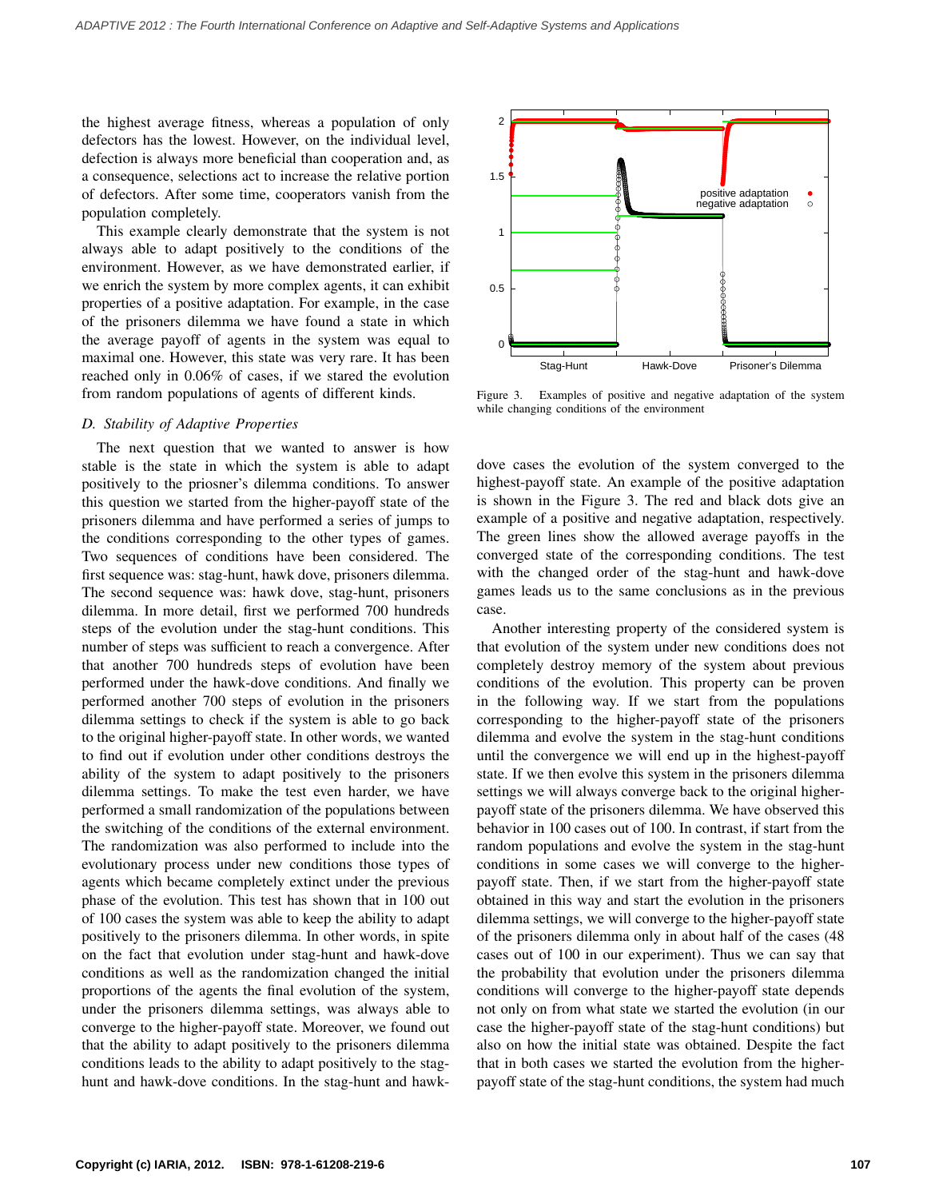the highest average fitness, whereas a population of only defectors has the lowest. However, on the individual level, defection is always more beneficial than cooperation and, as a consequence, selections act to increase the relative portion of defectors. After some time, cooperators vanish from the population completely.

This example clearly demonstrate that the system is not always able to adapt positively to the conditions of the environment. However, as we have demonstrated earlier, if we enrich the system by more complex agents, it can exhibit properties of a positive adaptation. For example, in the case of the prisoners dilemma we have found a state in which the average payoff of agents in the system was equal to maximal one. However, this state was very rare. It has been reached only in 0.06% of cases, if we stared the evolution from random populations of agents of different kinds.

# *D. Stability of Adaptive Properties*

The next question that we wanted to answer is how stable is the state in which the system is able to adapt positively to the priosner's dilemma conditions. To answer this question we started from the higher-payoff state of the prisoners dilemma and have performed a series of jumps to the conditions corresponding to the other types of games. Two sequences of conditions have been considered. The first sequence was: stag-hunt, hawk dove, prisoners dilemma. The second sequence was: hawk dove, stag-hunt, prisoners dilemma. In more detail, first we performed 700 hundreds steps of the evolution under the stag-hunt conditions. This number of steps was sufficient to reach a convergence. After that another 700 hundreds steps of evolution have been performed under the hawk-dove conditions. And finally we performed another 700 steps of evolution in the prisoners dilemma settings to check if the system is able to go back to the original higher-payoff state. In other words, we wanted to find out if evolution under other conditions destroys the ability of the system to adapt positively to the prisoners dilemma settings. To make the test even harder, we have performed a small randomization of the populations between the switching of the conditions of the external environment. The randomization was also performed to include into the evolutionary process under new conditions those types of agents which became completely extinct under the previous phase of the evolution. This test has shown that in 100 out of 100 cases the system was able to keep the ability to adapt positively to the prisoners dilemma. In other words, in spite on the fact that evolution under stag-hunt and hawk-dove conditions as well as the randomization changed the initial proportions of the agents the final evolution of the system, under the prisoners dilemma settings, was always able to converge to the higher-payoff state. Moreover, we found out that the ability to adapt positively to the prisoners dilemma conditions leads to the ability to adapt positively to the staghunt and hawk-dove conditions. In the stag-hunt and hawk-



Figure 3. Examples of positive and negative adaptation of the system while changing conditions of the environment

dove cases the evolution of the system converged to the highest-payoff state. An example of the positive adaptation is shown in the Figure 3. The red and black dots give an example of a positive and negative adaptation, respectively. The green lines show the allowed average payoffs in the converged state of the corresponding conditions. The test with the changed order of the stag-hunt and hawk-dove games leads us to the same conclusions as in the previous case.

Another interesting property of the considered system is that evolution of the system under new conditions does not completely destroy memory of the system about previous conditions of the evolution. This property can be proven in the following way. If we start from the populations corresponding to the higher-payoff state of the prisoners dilemma and evolve the system in the stag-hunt conditions until the convergence we will end up in the highest-payoff state. If we then evolve this system in the prisoners dilemma settings we will always converge back to the original higherpayoff state of the prisoners dilemma. We have observed this behavior in 100 cases out of 100. In contrast, if start from the random populations and evolve the system in the stag-hunt conditions in some cases we will converge to the higherpayoff state. Then, if we start from the higher-payoff state obtained in this way and start the evolution in the prisoners dilemma settings, we will converge to the higher-payoff state of the prisoners dilemma only in about half of the cases (48 cases out of 100 in our experiment). Thus we can say that the probability that evolution under the prisoners dilemma conditions will converge to the higher-payoff state depends not only on from what state we started the evolution (in our case the higher-payoff state of the stag-hunt conditions) but also on how the initial state was obtained. Despite the fact that in both cases we started the evolution from the higherpayoff state of the stag-hunt conditions, the system had much